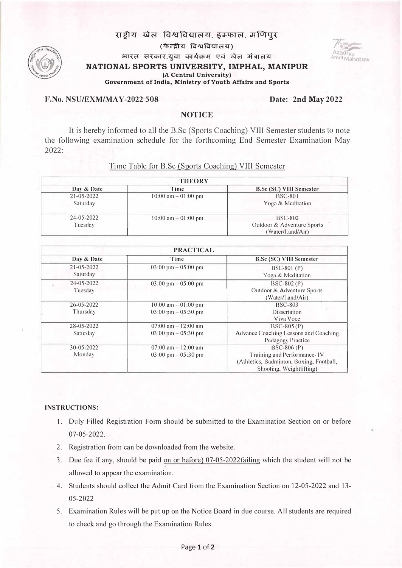## राष्टीय खेल विश्वविद्यालय, **डम्फाल, मणिपुर**

(के*न्*द्रीय विश्वविद्यालय) भारत सरकार,युवा कार्यक्रम एवं खेल मंत्रालय **NATIONAL SPORTS UNIVERSITY, IMPHAL, MANIPUR (A Central University)** 

**Government oflndia, Ministry of Youth Affairs and Sports** 

#### **·F.No. NSU/EXM/MAY-2022---508 Date: 2nd May 2022**

# **NOTICE**

It is hereby informed to all the B.Sc (Sports Coaching) VIII Semester students to note the following examination schedule for the forthcoming End Semester Examination May 2022:

| <b>THEORY</b>                |                        |                                                                  |  |
|------------------------------|------------------------|------------------------------------------------------------------|--|
| Day & Date                   | Time                   | <b>B.Sc (SC) VIII Semester</b>                                   |  |
| $21 - 05 - 2022$<br>Saturday | $10:00$ am $-01:00$ pm | <b>BSC-801</b><br>Yoga & Meditation                              |  |
| $24 - 05 - 2022$<br>Tuesday  | $10:00$ am $-01:00$ pm | <b>BSC-802</b><br>Outdoor & Adventure Sports<br>(Water/Land/Air) |  |

### Time Table for B.Sc (Sports Coaching) VIII Semester

| <b>PRACTICAL</b>             |                                                                 |                                                                                                                     |
|------------------------------|-----------------------------------------------------------------|---------------------------------------------------------------------------------------------------------------------|
| Day & Date                   | Time                                                            | <b>B.Sc (SC) VIII Semester</b>                                                                                      |
| $21 - 05 - 2022$<br>Saturday | $03:00 \text{ pm} - 05:00 \text{ pm}$                           | $BSC-801(P)$<br>Yoga & Meditation                                                                                   |
| $24 - 05 - 2022$<br>Tuesday  | $03:00 \text{ pm} - 05:00 \text{ pm}$                           | $BSC-802(P)$<br>Outdoor & Adventure Sports<br>(Water/Land/Air)                                                      |
| $26 - 05 - 2022$<br>Thursday | $10:00$ am $-01:00$ pm<br>$03:00 \text{ pm} - 05:30 \text{ pm}$ | <b>BSC-803</b><br>Dissertation<br>Viva Voce                                                                         |
| $28 - 05 - 2022$<br>Saturday | $07:00$ am $-12:00$ am<br>$03:00 \text{ pm} - 05:30 \text{ pm}$ | $BSC-805(P)$<br>Advance Coaching Lessons and Coaching<br>Pedagogy Practice                                          |
| $30 - 05 - 2022$<br>Monday   | $07:00$ am $-12:00$ am<br>$03:00 \text{ pm} - 05:30 \text{ pm}$ | $BSC-806(P)$<br>Training and Performance-1V<br>(Athletics, Badminton, Boxing, Football,<br>Shooting, Weightlifting) |

#### **INSTRUCTIONS:**

- 1. Duly Filled Registration Form should be submitted to the Examination Section on or before 07-05-2022.
- 2. Registration from can be downloaded from the website.
- 3. Due fee if any, should be paid on or before) 07-05-2022failing which the student will not be allowed to appear the examination.
- 4. Students should collect the Admit Card f <sup>r</sup>om the Examination Section on 12-05-2022 and 13- 05-2022
- 5. Examination Rules will be put up on the Notice Board in due course. All students are required to check and go through the Examination Rules.